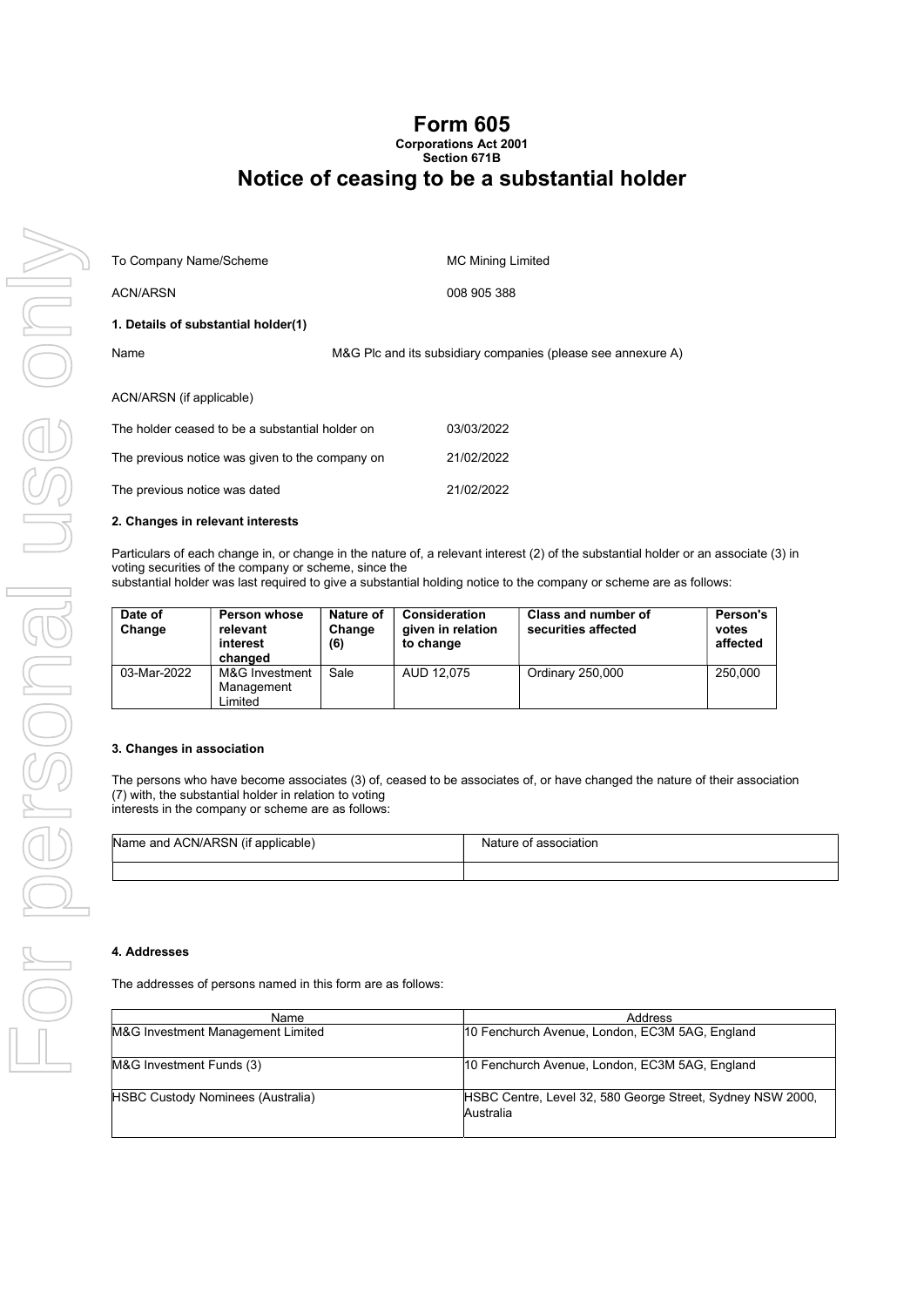### Form 605 Corporations Act 2001

## Section 671B Notice of ceasing to be a substantial holder

| To Company Name/Scheme                          | <b>MC Mining Limited</b>                                     |  |
|-------------------------------------------------|--------------------------------------------------------------|--|
| <b>ACN/ARSN</b>                                 | 008 905 388                                                  |  |
| 1. Details of substantial holder(1)             |                                                              |  |
| Name                                            | M&G Plc and its subsidiary companies (please see annexure A) |  |
| ACN/ARSN (if applicable)                        |                                                              |  |
| The holder ceased to be a substantial holder on | 03/03/2022                                                   |  |
| The previous notice was given to the company on | 21/02/2022                                                   |  |

The previous notice was dated 21/02/2022

#### 2. Changes in relevant interests

Particulars of each change in, or change in the nature of, a relevant interest (2) of the substantial holder or an associate (3) in voting securities of the company or scheme, since the

substantial holder was last required to give a substantial holding notice to the company or scheme are as follows:

| Date of<br>Change | <b>Person whose</b><br>relevant<br>interest<br>changed | Nature of<br>Change<br>(6) | Consideration<br>given in relation<br>to change | Class and number of<br>securities affected | Person's<br>votes<br>affected |
|-------------------|--------------------------------------------------------|----------------------------|-------------------------------------------------|--------------------------------------------|-------------------------------|
| 03-Mar-2022       | M&G Investment<br>Management<br>Limited                | Sale                       | AUD 12.075                                      | Ordinary 250,000                           | 250.000                       |

#### 3. Changes in association

The persons who have become associates (3) of, ceased to be associates of, or have changed the nature of their association (7) with, the substantial holder in relation to voting interests in the company or scheme are as follows:

| Name and ACN/ARSN (if applicable) | Nature of association |
|-----------------------------------|-----------------------|
|                                   |                       |

#### 4. Addresses

The addresses of persons named in this form are as follows:

| Name                                     | Address                                                                 |
|------------------------------------------|-------------------------------------------------------------------------|
| M&G Investment Management Limited        | 10 Fenchurch Avenue, London, EC3M 5AG, England                          |
| M&G Investment Funds (3)                 | 10 Fenchurch Avenue, London, EC3M 5AG, England                          |
| <b>HSBC Custody Nominees (Australia)</b> | HSBC Centre, Level 32, 580 George Street, Sydney NSW 2000,<br>Australia |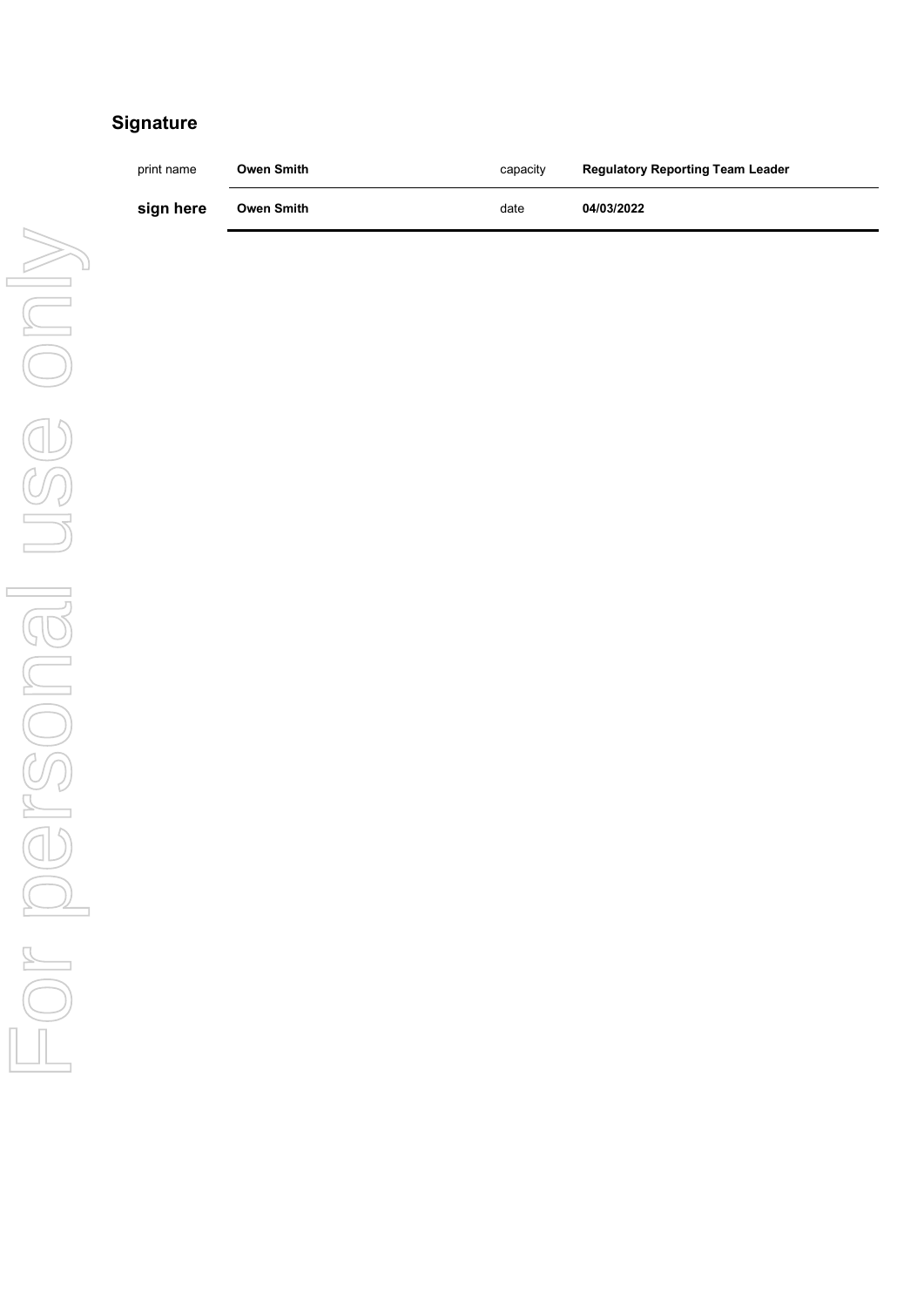# **Signature**

| print name | Owen Smith | capacity | <b>Regulatory Reporting Team Leader</b> |
|------------|------------|----------|-----------------------------------------|
| sign here  | Owen Smith | date     | 04/03/2022                              |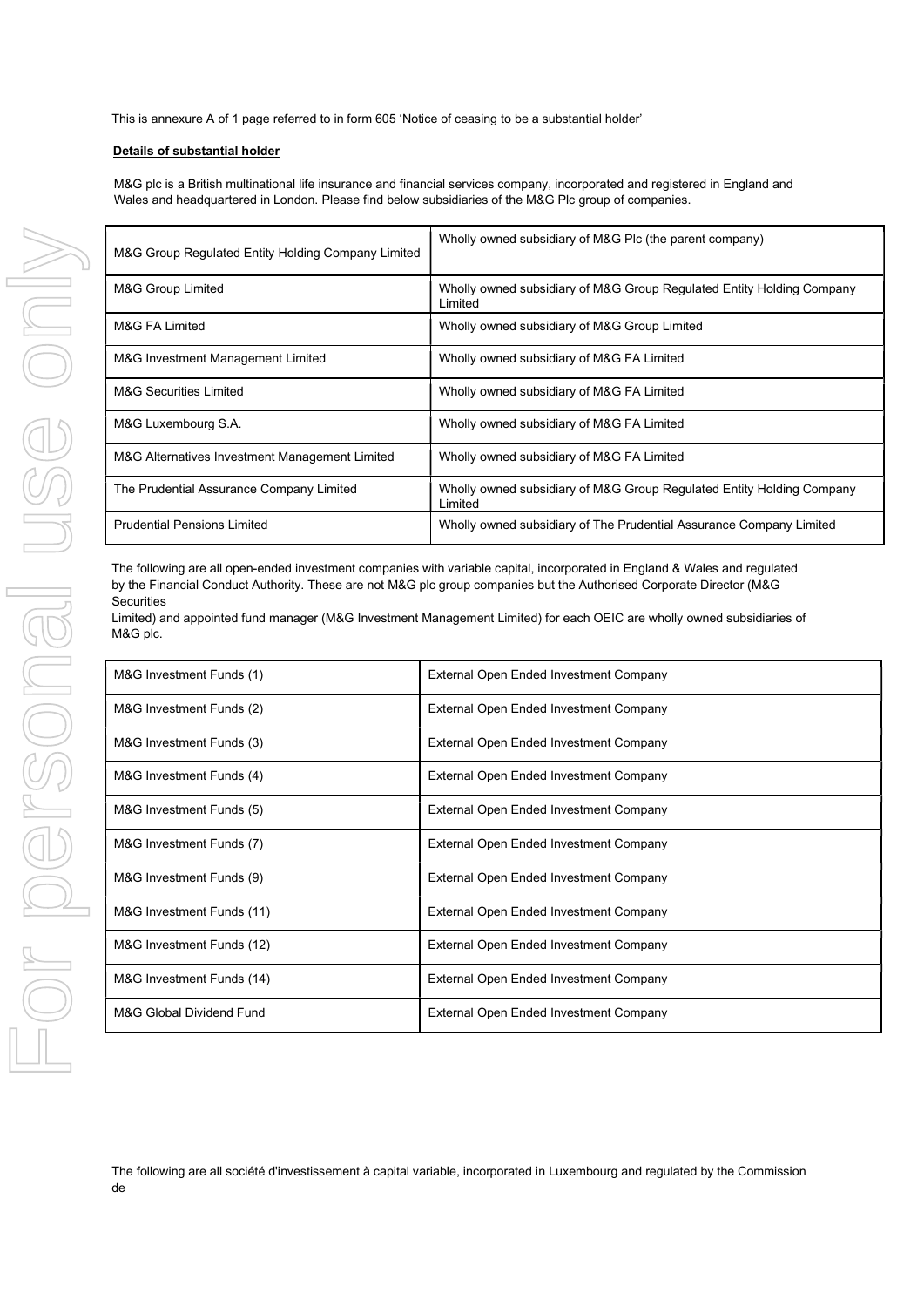This is annexure A of 1 page referred to in form 605 'Notice of ceasing to be a substantial holder'

#### Details of substantial holder

M&G plc is a British multinational life insurance and financial services company, incorporated and registered in England and Wales and headquartered in London. Please find below subsidiaries of the M&G Plc group of companies.

| M&G Group Regulated Entity Holding Company Limited | Wholly owned subsidiary of M&G Plc (the parent company)                          |
|----------------------------------------------------|----------------------------------------------------------------------------------|
| M&G Group Limited                                  | Wholly owned subsidiary of M&G Group Regulated Entity Holding Company<br>Limited |
| M&G FA Limited                                     | Wholly owned subsidiary of M&G Group Limited                                     |
| M&G Investment Management Limited                  | Wholly owned subsidiary of M&G FA Limited                                        |
| <b>M&amp;G Securities Limited</b>                  | Wholly owned subsidiary of M&G FA Limited                                        |
| M&G Luxembourg S.A.                                | Wholly owned subsidiary of M&G FA Limited                                        |
| M&G Alternatives Investment Management Limited     | Wholly owned subsidiary of M&G FA Limited                                        |
| The Prudential Assurance Company Limited           | Wholly owned subsidiary of M&G Group Regulated Entity Holding Company<br>Limited |
| <b>Prudential Pensions Limited</b>                 | Wholly owned subsidiary of The Prudential Assurance Company Limited              |

The following are all open-ended investment companies with variable capital, incorporated in England & Wales and regulated by the Financial Conduct Authority. These are not M&G plc group companies but the Authorised Corporate Director (M&G **Securities** 

Limited) and appointed fund manager (M&G Investment Management Limited) for each OEIC are wholly owned subsidiaries of M&G plc.

| M&G Investment Funds (1)  | External Open Ended Investment Company |
|---------------------------|----------------------------------------|
| M&G Investment Funds (2)  | External Open Ended Investment Company |
| M&G Investment Funds (3)  | External Open Ended Investment Company |
| M&G Investment Funds (4)  | External Open Ended Investment Company |
| M&G Investment Funds (5)  | External Open Ended Investment Company |
| M&G Investment Funds (7)  | External Open Ended Investment Company |
| M&G Investment Funds (9)  | External Open Ended Investment Company |
| M&G Investment Funds (11) | External Open Ended Investment Company |
| M&G Investment Funds (12) | External Open Ended Investment Company |
| M&G Investment Funds (14) | External Open Ended Investment Company |
| M&G Global Dividend Fund  | External Open Ended Investment Company |

The following are all société d'investissement à capital variable, incorporated in Luxembourg and regulated by the Commission de